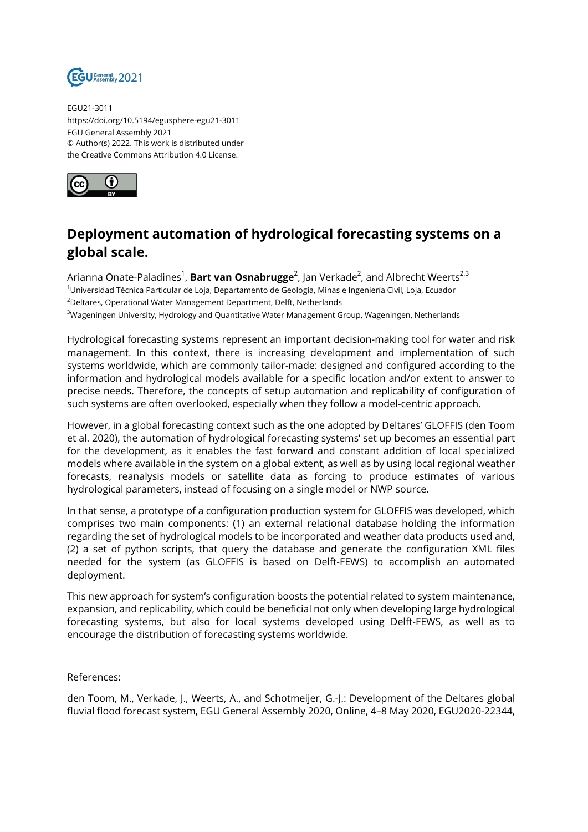

EGU21-3011 https://doi.org/10.5194/egusphere-egu21-3011 EGU General Assembly 2021 © Author(s) 2022. This work is distributed under the Creative Commons Attribution 4.0 License.



## **Deployment automation of hydrological forecasting systems on a global scale.**

Arianna Onate-Paladines<sup>1</sup>, **Bart van Osnabrugge<sup>2</sup>,** Jan Verkade<sup>2</sup>, and Albrecht Weerts<sup>2,3</sup> <sup>1</sup>Universidad Técnica Particular de Loja, Departamento de Geología, Minas e Ingeniería Civil, Loja, Ecuador <sup>2</sup>Deltares, Operational Water Management Department, Delft, Netherlands <sup>3</sup>Wageningen University, Hydrology and Quantitative Water Management Group, Wageningen, Netherlands

Hydrological forecasting systems represent an important decision-making tool for water and risk management. In this context, there is increasing development and implementation of such systems worldwide, which are commonly tailor-made: designed and configured according to the information and hydrological models available for a specific location and/or extent to answer to precise needs. Therefore, the concepts of setup automation and replicability of configuration of such systems are often overlooked, especially when they follow a model-centric approach.

However, in a global forecasting context such as the one adopted by Deltares' GLOFFIS (den Toom et al. 2020), the automation of hydrological forecasting systems' set up becomes an essential part for the development, as it enables the fast forward and constant addition of local specialized models where available in the system on a global extent, as well as by using local regional weather forecasts, reanalysis models or satellite data as forcing to produce estimates of various hydrological parameters, instead of focusing on a single model or NWP source.

In that sense, a prototype of a configuration production system for GLOFFIS was developed, which comprises two main components: (1) an external relational database holding the information regarding the set of hydrological models to be incorporated and weather data products used and, (2) a set of python scripts, that query the database and generate the configuration XML files needed for the system (as GLOFFIS is based on Delft-FEWS) to accomplish an automated deployment.

This new approach for system's configuration boosts the potential related to system maintenance, expansion, and replicability, which could be beneficial not only when developing large hydrological forecasting systems, but also for local systems developed using Delft-FEWS, as well as to encourage the distribution of forecasting systems worldwide.

References:

den Toom, M., Verkade, J., Weerts, A., and Schotmeijer, G.-J.: Development of the Deltares global fluvial flood forecast system, EGU General Assembly 2020, Online, 4–8 May 2020, EGU2020-22344,